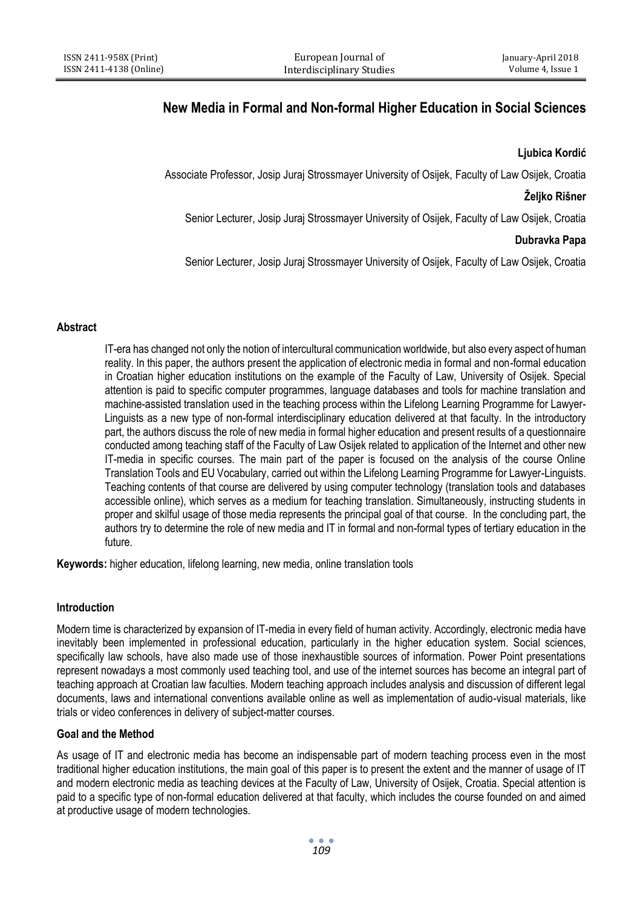# **New Media in Formal and Non-formal Higher Education in Social Sciences**

# **Ljubica Kordić**

Associate Professor, Josip Juraj Strossmayer University of Osijek, Faculty of Law Osijek, Croatia

# **Željko Rišner**

Senior Lecturer, Josip Juraj Strossmayer University of Osijek, Faculty of Law Osijek, Croatia

# **Dubravka Papa**

Senior Lecturer, Josip Juraj Strossmayer University of Osijek, Faculty of Law Osijek, Croatia

## **Abstract**

IT-era has changed not only the notion of intercultural communication worldwide, but also every aspect of human reality. In this paper, the authors present the application of electronic media in formal and non-formal education in Croatian higher education institutions on the example of the Faculty of Law, University of Osijek. Special attention is paid to specific computer programmes, language databases and tools for machine translation and machine-assisted translation used in the teaching process within the Lifelong Learning Programme for Lawyer-Linguists as a new type of non-formal interdisciplinary education delivered at that faculty. In the introductory part, the authors discuss the role of new media in formal higher education and present results of a questionnaire conducted among teaching staff of the Faculty of Law Osijek related to application of the Internet and other new IT-media in specific courses. The main part of the paper is focused on the analysis of the course Online Translation Tools and EU Vocabulary, carried out within the Lifelong Learning Programme for Lawyer-Linguists. Teaching contents of that course are delivered by using computer technology (translation tools and databases accessible online), which serves as a medium for teaching translation. Simultaneously, instructing students in proper and skilful usage of those media represents the principal goal of that course. In the concluding part, the authors try to determine the role of new media and IT in formal and non-formal types of tertiary education in the future.

**Keywords:** higher education, lifelong learning, new media, online translation tools

# **Introduction**

Modern time is characterized by expansion of IT-media in every field of human activity. Accordingly, electronic media have inevitably been implemented in professional education, particularly in the higher education system. Social sciences, specifically law schools, have also made use of those inexhaustible sources of information. Power Point presentations represent nowadays a most commonly used teaching tool, and use of the internet sources has become an integral part of teaching approach at Croatian law faculties. Modern teaching approach includes analysis and discussion of different legal documents, laws and international conventions available online as well as implementation of audio-visual materials, like trials or video conferences in delivery of subject-matter courses.

# **Goal and the Method**

As usage of IT and electronic media has become an indispensable part of modern teaching process even in the most traditional higher education institutions, the main goal of this paper is to present the extent and the manner of usage of IT and modern electronic media as teaching devices at the Faculty of Law, University of Osijek, Croatia. Special attention is paid to a specific type of non-formal education delivered at that faculty, which includes the course founded on and aimed at productive usage of modern technologies.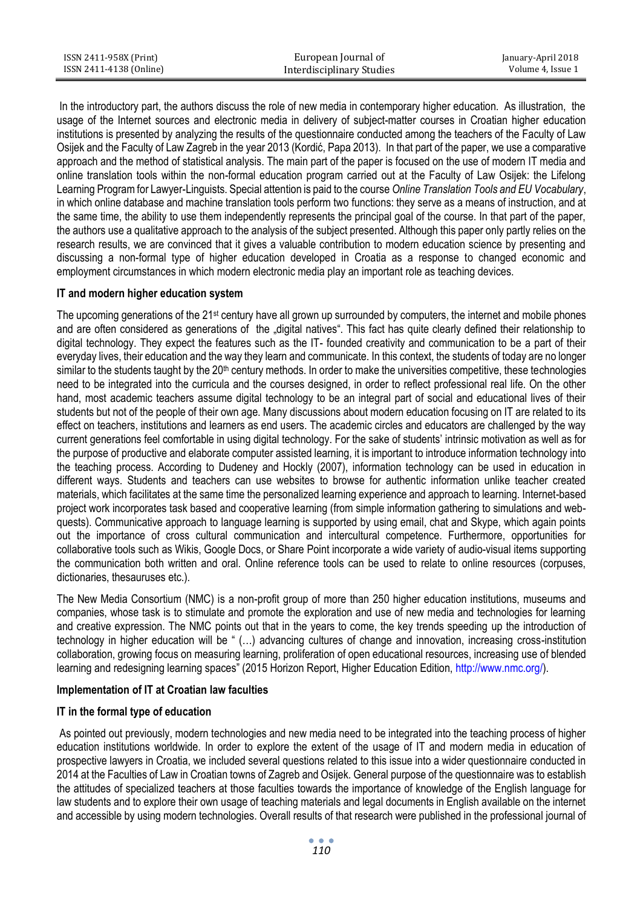| ISSN 2411-958X (Print)  | European Journal of       | January-April 2018 |
|-------------------------|---------------------------|--------------------|
| ISSN 2411-4138 (Online) | Interdisciplinary Studies | Volume 4. Issue 1  |

In the introductory part, the authors discuss the role of new media in contemporary higher education. As illustration, the usage of the Internet sources and electronic media in delivery of subject-matter courses in Croatian higher education institutions is presented by analyzing the results of the questionnaire conducted among the teachers of the Faculty of Law Osijek and the Faculty of Law Zagreb in the year 2013 (Kordić, Papa 2013). In that part of the paper, we use a comparative approach and the method of statistical analysis. The main part of the paper is focused on the use of modern IT media and online translation tools within the non-formal education program carried out at the Faculty of Law Osijek: the Lifelong Learning Program for Lawyer-Linguists. Special attention is paid to the course *Online Translation Tools and EU Vocabulary*, in which online database and machine translation tools perform two functions: they serve as a means of instruction, and at the same time, the ability to use them independently represents the principal goal of the course. In that part of the paper, the authors use a qualitative approach to the analysis of the subject presented. Although this paper only partly relies on the research results, we are convinced that it gives a valuable contribution to modern education science by presenting and discussing a non-formal type of higher education developed in Croatia as a response to changed economic and employment circumstances in which modern electronic media play an important role as teaching devices.

#### **IT and modern higher education system**

The upcoming generations of the 21st century have all grown up surrounded by computers, the internet and mobile phones and are often considered as generations of the "digital natives". This fact has quite clearly defined their relationship to digital technology. They expect the features such as the IT- founded creativity and communication to be a part of their everyday lives, their education and the way they learn and communicate. In this context, the students of today are no longer similar to the students taught by the 20<sup>th</sup> century methods. In order to make the universities competitive, these technologies need to be integrated into the curricula and the courses designed, in order to reflect professional real life. On the other hand, most academic teachers assume digital technology to be an integral part of social and educational lives of their students but not of the people of their own age. Many discussions about modern education focusing on IT are related to its effect on teachers, institutions and learners as end users. The academic circles and educators are challenged by the way current generations feel comfortable in using digital technology. For the sake of students' intrinsic motivation as well as for the purpose of productive and elaborate computer assisted learning, it is important to introduce information technology into the teaching process. According to Dudeney and Hockly (2007), information technology can be used in education in different ways. Students and teachers can use websites to browse for authentic information unlike teacher created materials, which facilitates at the same time the personalized learning experience and approach to learning. Internet-based project work incorporates task based and cooperative learning (from simple information gathering to simulations and webquests). Communicative approach to language learning is supported by using email, chat and Skype, which again points out the importance of cross cultural communication and intercultural competence. Furthermore, opportunities for collaborative tools such as Wikis, Google Docs, or Share Point incorporate a wide variety of audio-visual items supporting the communication both written and oral. Online reference tools can be used to relate to online resources (corpuses, dictionaries, thesauruses etc.).

The New Media Consortium (NMC) is a non-profit group of more than 250 higher education institutions, museums and companies, whose task is to stimulate and promote the exploration and use of new media and technologies for learning and creative expression. The NMC points out that in the years to come, the key trends speeding up the introduction of technology in higher education will be " (…) advancing cultures of change and innovation, increasing cross-institution collaboration, growing focus on measuring learning, proliferation of open educational resources, increasing use of blended learning and redesigning learning spaces" (2015 Horizon Report, Higher Education Edition, [http://www.nmc.org/\)](http://www.nmc.org/).

#### **Implementation of IT at Croatian law faculties**

## **IT in the formal type of education**

As pointed out previously, modern technologies and new media need to be integrated into the teaching process of higher education institutions worldwide. In order to explore the extent of the usage of IT and modern media in education of prospective lawyers in Croatia, we included several questions related to this issue into a wider questionnaire conducted in 2014 at the Faculties of Law in Croatian towns of Zagreb and Osijek. General purpose of the questionnaire was to establish the attitudes of specialized teachers at those faculties towards the importance of knowledge of the English language for law students and to explore their own usage of teaching materials and legal documents in English available on the internet and accessible by using modern technologies. Overall results of that research were published in the professional journal of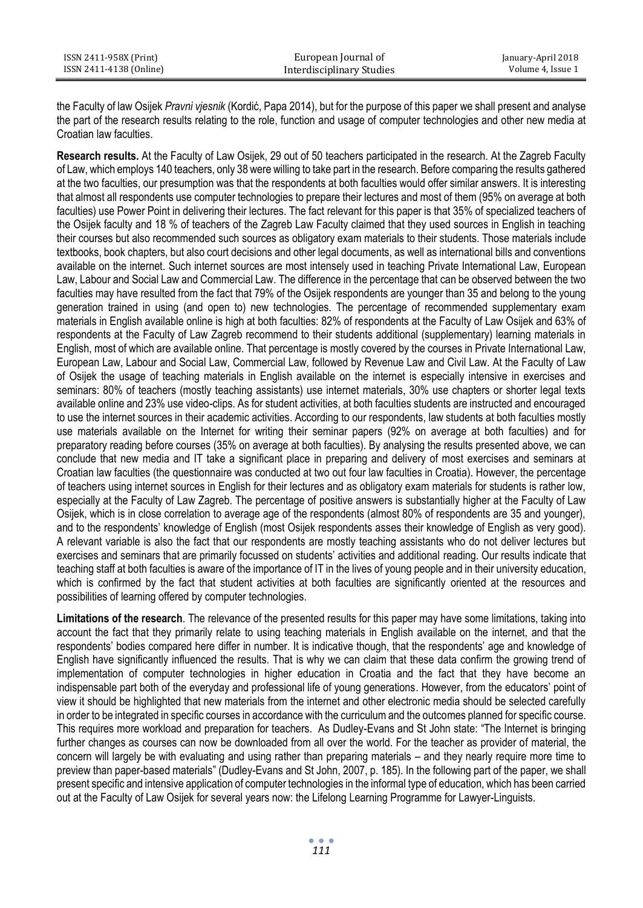| ISSN 2411-958X (Print)  | European Journal of       | January-April 2018 |
|-------------------------|---------------------------|--------------------|
| ISSN 2411-4138 (Online) | Interdisciplinary Studies | Volume 4. Issue 1  |

the Faculty of law Osijek *Pravni vjesnik* (Kordić, Papa 2014), but for the purpose of this paper we shall present and analyse the part of the research results relating to the role, function and usage of computer technologies and other new media at Croatian law faculties.

**Research results.** At the Faculty of Law Osijek, 29 out of 50 teachers participated in the research. At the Zagreb Faculty of Law, which employs 140 teachers, only 38 were willing to take part in the research. Before comparing the results gathered at the two faculties, our presumption was that the respondents at both faculties would offer similar answers. It is interesting that almost all respondents use computer technologies to prepare their lectures and most of them (95% on average at both faculties) use Power Point in delivering their lectures. The fact relevant for this paper is that 35% of specialized teachers of the Osijek faculty and 18 % of teachers of the Zagreb Law Faculty claimed that they used sources in English in teaching their courses but also recommended such sources as obligatory exam materials to their students. Those materials include textbooks, book chapters, but also court decisions and other legal documents, as well as international bills and conventions available on the internet. Such internet sources are most intensely used in teaching Private International Law, European Law, Labour and Social Law and Commercial Law. The difference in the percentage that can be observed between the two faculties may have resulted from the fact that 79% of the Osijek respondents are younger than 35 and belong to the young generation trained in using (and open to) new technologies. The percentage of recommended supplementary exam materials in English available online is high at both faculties: 82% of respondents at the Faculty of Law Osijek and 63% of respondents at the Faculty of Law Zagreb recommend to their students additional (supplementary) learning materials in English, most of which are available online. That percentage is mostly covered by the courses in Private International Law, European Law, Labour and Social Law, Commercial Law, followed by Revenue Law and Civil Law. At the Faculty of Law of Osijek the usage of teaching materials in English available on the internet is especially intensive in exercises and seminars: 80% of teachers (mostly teaching assistants) use internet materials, 30% use chapters or shorter legal texts available online and 23% use video-clips. As for student activities, at both faculties students are instructed and encouraged to use the internet sources in their academic activities. According to our respondents, law students at both faculties mostly use materials available on the Internet for writing their seminar papers (92% on average at both faculties) and for preparatory reading before courses (35% on average at both faculties). By analysing the results presented above, we can conclude that new media and IT take a significant place in preparing and delivery of most exercises and seminars at Croatian law faculties (the questionnaire was conducted at two out four law faculties in Croatia). However, the percentage of teachers using internet sources in English for their lectures and as obligatory exam materials for students is rather low, especially at the Faculty of Law Zagreb. The percentage of positive answers is substantially higher at the Faculty of Law Osijek, which is in close correlation to average age of the respondents (almost 80% of respondents are 35 and younger), and to the respondents' knowledge of English (most Osijek respondents asses their knowledge of English as very good). A relevant variable is also the fact that our respondents are mostly teaching assistants who do not deliver lectures but exercises and seminars that are primarily focussed on students' activities and additional reading. Our results indicate that teaching staff at both faculties is aware of the importance of IT in the lives of young people and in their university education, which is confirmed by the fact that student activities at both faculties are significantly oriented at the resources and possibilities of learning offered by computer technologies.

**Limitations of the research**. The relevance of the presented results for this paper may have some limitations, taking into account the fact that they primarily relate to using teaching materials in English available on the internet, and that the respondents' bodies compared here differ in number. It is indicative though, that the respondents' age and knowledge of English have significantly influenced the results. That is why we can claim that these data confirm the growing trend of implementation of computer technologies in higher education in Croatia and the fact that they have become an indispensable part both of the everyday and professional life of young generations. However, from the educators' point of view it should be highlighted that new materials from the internet and other electronic media should be selected carefully in order to be integrated in specific courses in accordance with the curriculum and the outcomes planned for specific course. This requires more workload and preparation for teachers. As Dudley-Evans and St John state: "The Internet is bringing further changes as courses can now be downloaded from all over the world. For the teacher as provider of material, the concern will largely be with evaluating and using rather than preparing materials – and they nearly require more time to preview than paper-based materials" (Dudley-Evans and St John, 2007, p. 185). In the following part of the paper, we shall present specific and intensive application of computer technologies in the informal type of education, which has been carried out at the Faculty of Law Osijek for several years now: the Lifelong Learning Programme for Lawyer-Linguists.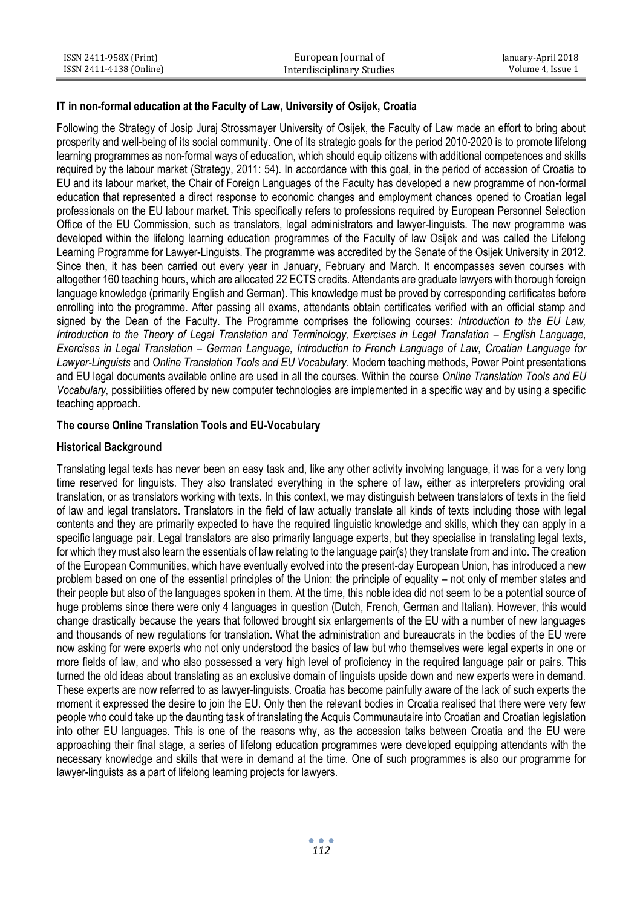| ISSN 2411-958X (Print)  | European Journal of       | January-April 2018 |
|-------------------------|---------------------------|--------------------|
| ISSN 2411-4138 (Online) | Interdisciplinary Studies | Volume 4. Issue 1  |

## **IT in non-formal education at the Faculty of Law, University of Osijek, Croatia**

Following the Strategy of Josip Juraj Strossmayer University of Osijek, the Faculty of Law made an effort to bring about prosperity and well-being of its social community. One of its strategic goals for the period 2010-2020 is to promote lifelong learning programmes as non-formal ways of education, which should equip citizens with additional competences and skills required by the labour market (Strategy, 2011: 54). In accordance with this goal, in the period of accession of Croatia to EU and its labour market, the Chair of Foreign Languages of the Faculty has developed a new programme of non-formal education that represented a direct response to economic changes and employment chances opened to Croatian legal professionals on the EU labour market. This specifically refers to professions required by European Personnel Selection Office of the EU Commission, such as translators, legal administrators and lawyer-linguists. The new programme was developed within the lifelong learning education programmes of the Faculty of law Osijek and was called the Lifelong Learning Programme for Lawyer-Linguists. The programme was accredited by the Senate of the Osijek University in 2012. Since then, it has been carried out every year in January, February and March. It encompasses seven courses with altogether 160 teaching hours, which are allocated 22 ECTS credits. Attendants are graduate lawyers with thorough foreign language knowledge (primarily English and German). This knowledge must be proved by corresponding certificates before enrolling into the programme. After passing all exams, attendants obtain certificates verified with an official stamp and signed by the Dean of the Faculty. The Programme comprises the following courses: *Introduction to the EU Law, Introduction to the Theory of Legal Translation and Terminology, Exercises in Legal Translation – English Language, Exercises in Legal Translation – German Language, Introduction to French Language of Law, Croatian Language for Lawyer-Linguists* and *Online Translation Tools and EU Vocabulary*. Modern teaching methods, Power Point presentations and EU legal documents available online are used in all the courses. Within the course *Online Translation Tools and EU Vocabulary,* possibilities offered by new computer technologies are implemented in a specific way and by using a specific teaching approach**.**

# **The course Online Translation Tools and EU-Vocabulary**

#### **Historical Background**

Translating legal texts has never been an easy task and, like any other activity involving language, it was for a very long time reserved for linguists. They also translated everything in the sphere of law, either as interpreters providing oral translation, or as translators working with texts. In this context, we may distinguish between translators of texts in the field of law and legal translators. Translators in the field of law actually translate all kinds of texts including those with legal contents and they are primarily expected to have the required linguistic knowledge and skills, which they can apply in a specific language pair. Legal translators are also primarily language experts, but they specialise in translating legal texts, for which they must also learn the essentials of law relating to the language pair(s) they translate from and into. The creation of the European Communities, which have eventually evolved into the present-day European Union, has introduced a new problem based on one of the essential principles of the Union: the principle of equality – not only of member states and their people but also of the languages spoken in them. At the time, this noble idea did not seem to be a potential source of huge problems since there were only 4 languages in question (Dutch, French, German and Italian). However, this would change drastically because the years that followed brought six enlargements of the EU with a number of new languages and thousands of new regulations for translation. What the administration and bureaucrats in the bodies of the EU were now asking for were experts who not only understood the basics of law but who themselves were legal experts in one or more fields of law, and who also possessed a very high level of proficiency in the required language pair or pairs. This turned the old ideas about translating as an exclusive domain of linguists upside down and new experts were in demand. These experts are now referred to as lawyer-linguists. Croatia has become painfully aware of the lack of such experts the moment it expressed the desire to join the EU. Only then the relevant bodies in Croatia realised that there were very few people who could take up the daunting task of translating the Acquis Communautaire into Croatian and Croatian legislation into other EU languages. This is one of the reasons why, as the accession talks between Croatia and the EU were approaching their final stage, a series of lifelong education programmes were developed equipping attendants with the necessary knowledge and skills that were in demand at the time. One of such programmes is also our programme for lawyer-linguists as a part of lifelong learning projects for lawyers.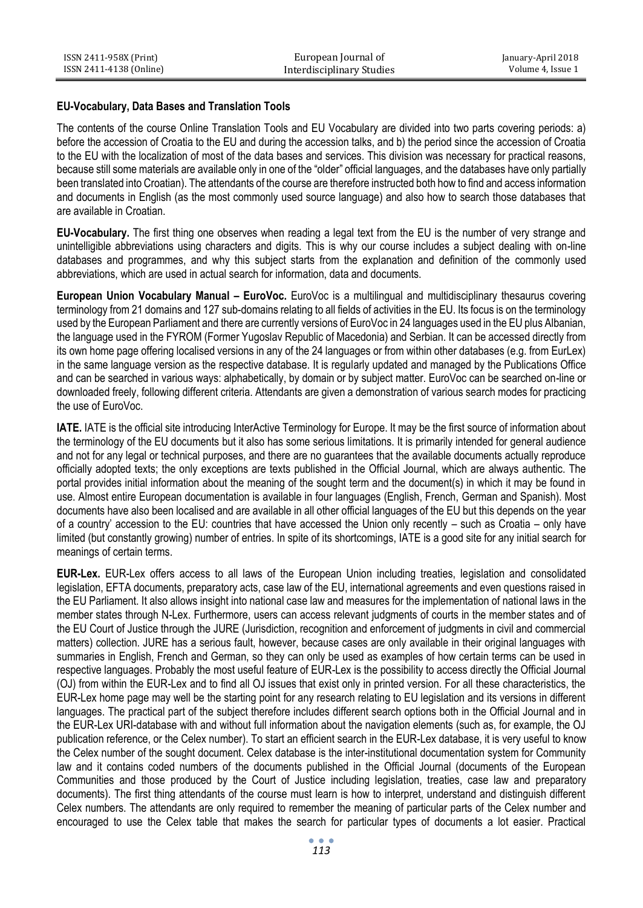| ISSN 2411-958X (Print)  | European Journal of       | January-April 2018 |
|-------------------------|---------------------------|--------------------|
| ISSN 2411-4138 (Online) | Interdisciplinary Studies | Volume 4. Issue 1  |

#### **EU-Vocabulary, Data Bases and Translation Tools**

The contents of the course Online Translation Tools and EU Vocabulary are divided into two parts covering periods: a) before the accession of Croatia to the EU and during the accession talks, and b) the period since the accession of Croatia to the EU with the localization of most of the data bases and services. This division was necessary for practical reasons, because still some materials are available only in one of the "older" official languages, and the databases have only partially been translated into Croatian). The attendants of the course are therefore instructed both how to find and access information and documents in English (as the most commonly used source language) and also how to search those databases that are available in Croatian.

**EU-Vocabulary.** The first thing one observes when reading a legal text from the EU is the number of very strange and unintelligible abbreviations using characters and digits. This is why our course includes a subject dealing with on-line databases and programmes, and why this subject starts from the explanation and definition of the commonly used abbreviations, which are used in actual search for information, data and documents.

**European Union Vocabulary Manual – EuroVoc.** EuroVoc is a multilingual and multidisciplinary thesaurus covering terminology from 21 domains and 127 sub-domains relating to all fields of activities in the EU. Its focus is on the terminology used by the European Parliament and there are currently versions of EuroVoc in 24 languages used in the EU plus Albanian, the language used in the FYROM (Former Yugoslav Republic of Macedonia) and Serbian. It can be accessed directly from its own home page offering localised versions in any of the 24 languages or from within other databases (e.g. from EurLex) in the same language version as the respective database. It is regularly updated and managed by the Publications Office and can be searched in various ways: alphabetically, by domain or by subject matter. EuroVoc can be searched on-line or downloaded freely, following different criteria. Attendants are given a demonstration of various search modes for practicing the use of EuroVoc.

**IATE.** IATE is the official site introducing InterActive Terminology for Europe. It may be the first source of information about the terminology of the EU documents but it also has some serious limitations. It is primarily intended for general audience and not for any legal or technical purposes, and there are no guarantees that the available documents actually reproduce officially adopted texts; the only exceptions are texts published in the Official Journal, which are always authentic. The portal provides initial information about the meaning of the sought term and the document(s) in which it may be found in use. Almost entire European documentation is available in four languages (English, French, German and Spanish). Most documents have also been localised and are available in all other official languages of the EU but this depends on the year of a country' accession to the EU: countries that have accessed the Union only recently – such as Croatia – only have limited (but constantly growing) number of entries. In spite of its shortcomings, IATE is a good site for any initial search for meanings of certain terms.

**EUR-Lex.** EUR-Lex offers access to all laws of the European Union including treaties, legislation and consolidated legislation, EFTA documents, preparatory acts, case law of the EU, international agreements and even questions raised in the EU Parliament. It also allows insight into national case law and measures for the implementation of national laws in the member states through N-Lex. Furthermore, users can access relevant judgments of courts in the member states and of the EU Court of Justice through the JURE (Jurisdiction, recognition and enforcement of judgments in civil and commercial matters) collection. JURE has a serious fault, however, because cases are only available in their original languages with summaries in English, French and German, so they can only be used as examples of how certain terms can be used in respective languages. Probably the most useful feature of EUR-Lex is the possibility to access directly the Official Journal (OJ) from within the EUR-Lex and to find all OJ issues that exist only in printed version. For all these characteristics, the EUR-Lex home page may well be the starting point for any research relating to EU legislation and its versions in different languages. The practical part of the subject therefore includes different search options both in the Official Journal and in the EUR-Lex URI-database with and without full information about the navigation elements (such as, for example, the OJ publication reference, or the Celex number). To start an efficient search in the EUR-Lex database, it is very useful to know the Celex number of the sought document. Celex database is the inter-institutional documentation system for Community law and it contains coded numbers of the documents published in the Official Journal (documents of the European Communities and those produced by the Court of Justice including legislation, treaties, case law and preparatory documents). The first thing attendants of the course must learn is how to interpret, understand and distinguish different Celex numbers. The attendants are only required to remember the meaning of particular parts of the Celex number and encouraged to use the Celex table that makes the search for particular types of documents a lot easier. Practical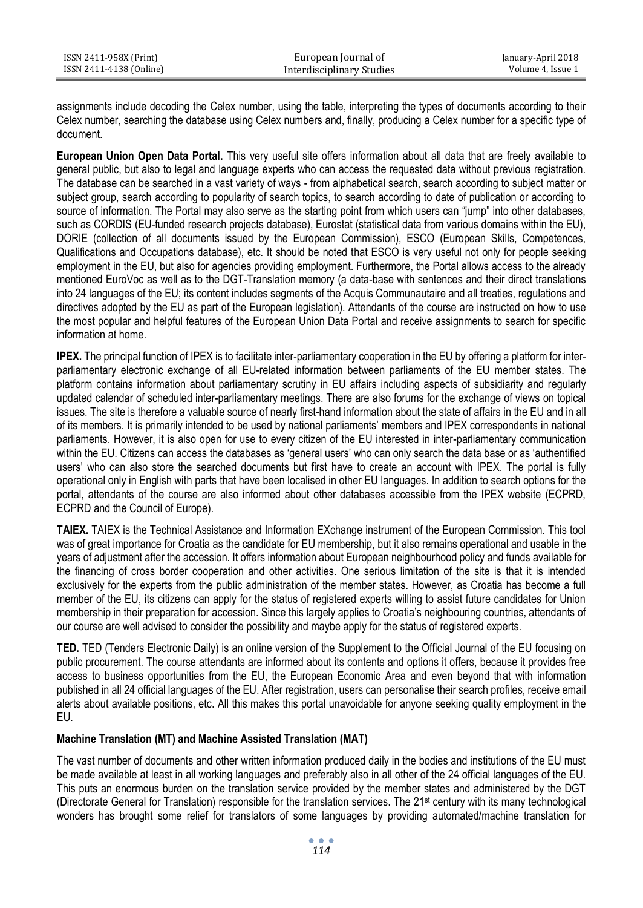| ISSN 2411-958X (Print)  | European Journal of       | January-April 2018 |
|-------------------------|---------------------------|--------------------|
| ISSN 2411-4138 (Online) | Interdisciplinary Studies | Volume 4, Issue 1  |

assignments include decoding the Celex number, using the table, interpreting the types of documents according to their Celex number, searching the database using Celex numbers and, finally, producing a Celex number for a specific type of document.

**European Union Open Data Portal.** This very useful site offers information about all data that are freely available to general public, but also to legal and language experts who can access the requested data without previous registration. The database can be searched in a vast variety of ways - from alphabetical search, search according to subject matter or subject group, search according to popularity of search topics, to search according to date of publication or according to source of information. The Portal may also serve as the starting point from which users can "jump" into other databases, such as CORDIS (EU-funded research projects database), Eurostat (statistical data from various domains within the EU), DORIE (collection of all documents issued by the European Commission), ESCO (European Skills, Competences, Qualifications and Occupations database), etc. It should be noted that ESCO is very useful not only for people seeking employment in the EU, but also for agencies providing employment. Furthermore, the Portal allows access to the already mentioned EuroVoc as well as to the DGT-Translation memory (a data-base with sentences and their direct translations into 24 languages of the EU; its content includes segments of the Acquis Communautaire and all treaties, regulations and directives adopted by the EU as part of the European legislation). Attendants of the course are instructed on how to use the most popular and helpful features of the European Union Data Portal and receive assignments to search for specific information at home.

**IPEX.** The principal function of IPEX is to facilitate inter-parliamentary cooperation in the EU by offering a platform for interparliamentary electronic exchange of all EU-related information between parliaments of the EU member states. The platform contains information about parliamentary scrutiny in EU affairs including aspects of subsidiarity and regularly updated calendar of scheduled inter-parliamentary meetings. There are also forums for the exchange of views on topical issues. The site is therefore a valuable source of nearly first-hand information about the state of affairs in the EU and in all of its members. It is primarily intended to be used by national parliaments' members and IPEX correspondents in national parliaments. However, it is also open for use to every citizen of the EU interested in inter-parliamentary communication within the EU. Citizens can access the databases as 'general users' who can only search the data base or as 'authentified users' who can also store the searched documents but first have to create an account with IPEX. The portal is fully operational only in English with parts that have been localised in other EU languages. In addition to search options for the portal, attendants of the course are also informed about other databases accessible from the IPEX website (ECPRD, ECPRD and the Council of Europe).

**TAIEX.** TAIEX is the Technical Assistance and Information EXchange instrument of the European Commission. This tool was of great importance for Croatia as the candidate for EU membership, but it also remains operational and usable in the years of adjustment after the accession. It offers information about European neighbourhood policy and funds available for the financing of cross border cooperation and other activities. One serious limitation of the site is that it is intended exclusively for the experts from the public administration of the member states. However, as Croatia has become a full member of the EU, its citizens can apply for the status of registered experts willing to assist future candidates for Union membership in their preparation for accession. Since this largely applies to Croatia's neighbouring countries, attendants of our course are well advised to consider the possibility and maybe apply for the status of registered experts.

**TED.** TED (Tenders Electronic Daily) is an online version of the Supplement to the Official Journal of the EU focusing on public procurement. The course attendants are informed about its contents and options it offers, because it provides free access to business opportunities from the EU, the European Economic Area and even beyond that with information published in all 24 official languages of the EU. After registration, users can personalise their search profiles, receive email alerts about available positions, etc. All this makes this portal unavoidable for anyone seeking quality employment in the EU.

#### **Machine Translation (MT) and Machine Assisted Translation (MAT)**

The vast number of documents and other written information produced daily in the bodies and institutions of the EU must be made available at least in all working languages and preferably also in all other of the 24 official languages of the EU. This puts an enormous burden on the translation service provided by the member states and administered by the DGT (Directorate General for Translation) responsible for the translation services. The  $21^{st}$  century with its many technological wonders has brought some relief for translators of some languages by providing automated/machine translation for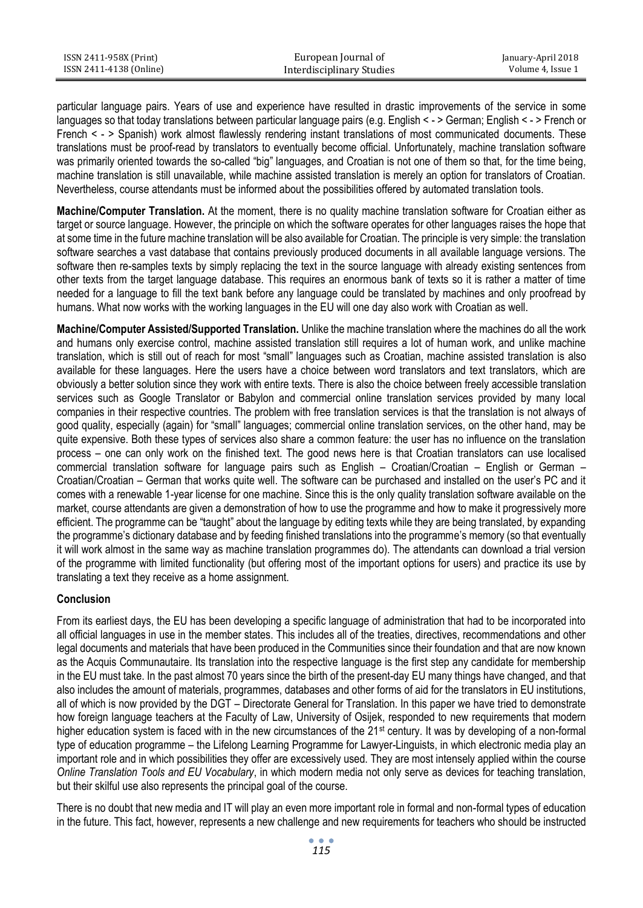| ISSN 2411-958X (Print)  | European Journal of       | January-April 2018 |
|-------------------------|---------------------------|--------------------|
| ISSN 2411-4138 (Online) | Interdisciplinary Studies | Volume 4, Issue 1  |

particular language pairs. Years of use and experience have resulted in drastic improvements of the service in some languages so that today translations between particular language pairs (e.g. English < - > German; English < - > French or French < - > Spanish) work almost flawlessly rendering instant translations of most communicated documents. These translations must be proof-read by translators to eventually become official. Unfortunately, machine translation software was primarily oriented towards the so-called "big" languages, and Croatian is not one of them so that, for the time being, machine translation is still unavailable, while machine assisted translation is merely an option for translators of Croatian. Nevertheless, course attendants must be informed about the possibilities offered by automated translation tools.

**Machine/Computer Translation.** At the moment, there is no quality machine translation software for Croatian either as target or source language. However, the principle on which the software operates for other languages raises the hope that at some time in the future machine translation will be also available for Croatian. The principle is very simple: the translation software searches a vast database that contains previously produced documents in all available language versions. The software then re-samples texts by simply replacing the text in the source language with already existing sentences from other texts from the target language database. This requires an enormous bank of texts so it is rather a matter of time needed for a language to fill the text bank before any language could be translated by machines and only proofread by humans. What now works with the working languages in the EU will one day also work with Croatian as well.

**Machine/Computer Assisted/Supported Translation.** Unlike the machine translation where the machines do all the work and humans only exercise control, machine assisted translation still requires a lot of human work, and unlike machine translation, which is still out of reach for most "small" languages such as Croatian, machine assisted translation is also available for these languages. Here the users have a choice between word translators and text translators, which are obviously a better solution since they work with entire texts. There is also the choice between freely accessible translation services such as Google Translator or Babylon and commercial online translation services provided by many local companies in their respective countries. The problem with free translation services is that the translation is not always of good quality, especially (again) for "small" languages; commercial online translation services, on the other hand, may be quite expensive. Both these types of services also share a common feature: the user has no influence on the translation process – one can only work on the finished text. The good news here is that Croatian translators can use localised commercial translation software for language pairs such as English – Croatian/Croatian – English or German – Croatian/Croatian – German that works quite well. The software can be purchased and installed on the user's PC and it comes with a renewable 1-year license for one machine. Since this is the only quality translation software available on the market, course attendants are given a demonstration of how to use the programme and how to make it progressively more efficient. The programme can be "taught" about the language by editing texts while they are being translated, by expanding the programme's dictionary database and by feeding finished translations into the programme's memory (so that eventually it will work almost in the same way as machine translation programmes do). The attendants can download a trial version of the programme with limited functionality (but offering most of the important options for users) and practice its use by translating a text they receive as a home assignment.

#### **Conclusion**

From its earliest days, the EU has been developing a specific language of administration that had to be incorporated into all official languages in use in the member states. This includes all of the treaties, directives, recommendations and other legal documents and materials that have been produced in the Communities since their foundation and that are now known as the Acquis Communautaire. Its translation into the respective language is the first step any candidate for membership in the EU must take. In the past almost 70 years since the birth of the present-day EU many things have changed, and that also includes the amount of materials, programmes, databases and other forms of aid for the translators in EU institutions, all of which is now provided by the DGT – Directorate General for Translation. In this paper we have tried to demonstrate how foreign language teachers at the Faculty of Law, University of Osijek, responded to new requirements that modern higher education system is faced with in the new circumstances of the 21<sup>st</sup> century. It was by developing of a non-formal type of education programme – the Lifelong Learning Programme for Lawyer-Linguists, in which electronic media play an important role and in which possibilities they offer are excessively used. They are most intensely applied within the course *Online Translation Tools and EU Vocabulary*, in which modern media not only serve as devices for teaching translation, but their skilful use also represents the principal goal of the course.

There is no doubt that new media and IT will play an even more important role in formal and non-formal types of education in the future. This fact, however, represents a new challenge and new requirements for teachers who should be instructed